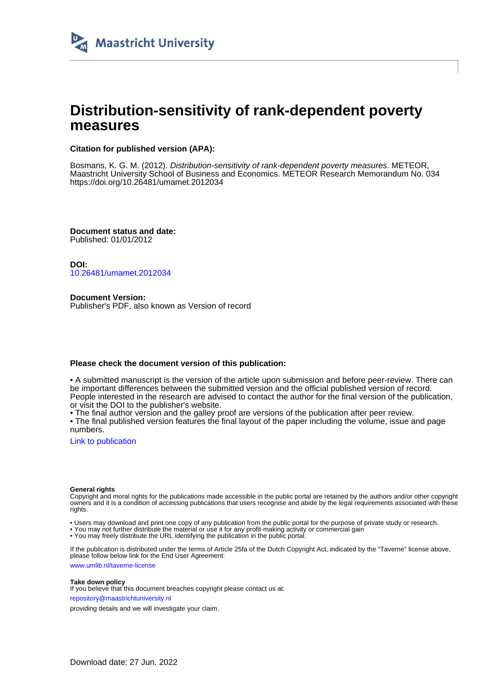

## **Distribution-sensitivity of rank-dependent poverty measures**

#### **Citation for published version (APA):**

Bosmans, K. G. M. (2012). Distribution-sensitivity of rank-dependent poverty measures. METEOR, Maastricht University School of Business and Economics. METEOR Research Memorandum No. 034 <https://doi.org/10.26481/umamet.2012034>

**Document status and date:** Published: 01/01/2012

**DOI:** [10.26481/umamet.2012034](https://doi.org/10.26481/umamet.2012034)

**Document Version:** Publisher's PDF, also known as Version of record

#### **Please check the document version of this publication:**

• A submitted manuscript is the version of the article upon submission and before peer-review. There can be important differences between the submitted version and the official published version of record. People interested in the research are advised to contact the author for the final version of the publication, or visit the DOI to the publisher's website.

• The final author version and the galley proof are versions of the publication after peer review.

• The final published version features the final layout of the paper including the volume, issue and page numbers.

[Link to publication](https://cris.maastrichtuniversity.nl/en/publications/2ee7c792-e307-422c-80af-9cb5b3995190)

#### **General rights**

Copyright and moral rights for the publications made accessible in the public portal are retained by the authors and/or other copyright owners and it is a condition of accessing publications that users recognise and abide by the legal requirements associated with these rights.

• Users may download and print one copy of any publication from the public portal for the purpose of private study or research.

• You may not further distribute the material or use it for any profit-making activity or commercial gain

• You may freely distribute the URL identifying the publication in the public portal.

If the publication is distributed under the terms of Article 25fa of the Dutch Copyright Act, indicated by the "Taverne" license above, please follow below link for the End User Agreement:

www.umlib.nl/taverne-license

#### **Take down policy**

If you believe that this document breaches copyright please contact us at: repository@maastrichtuniversity.nl

providing details and we will investigate your claim.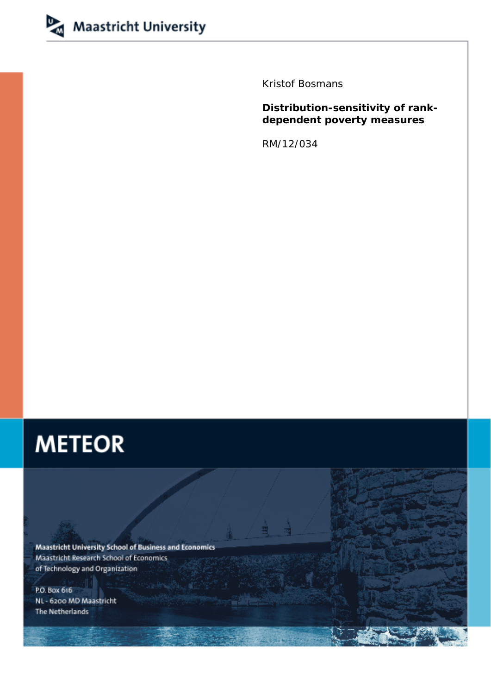

Kristof Bosmans

### **Distribution-sensitivity of rankdependent poverty measures**

RM/12/034

# **METEOR**

Maastricht University School of Business and Economics Maastricht Research School of Economics of Technology and Organization

P.O. Box 616 NL - 6200 MD Maastricht The Netherlands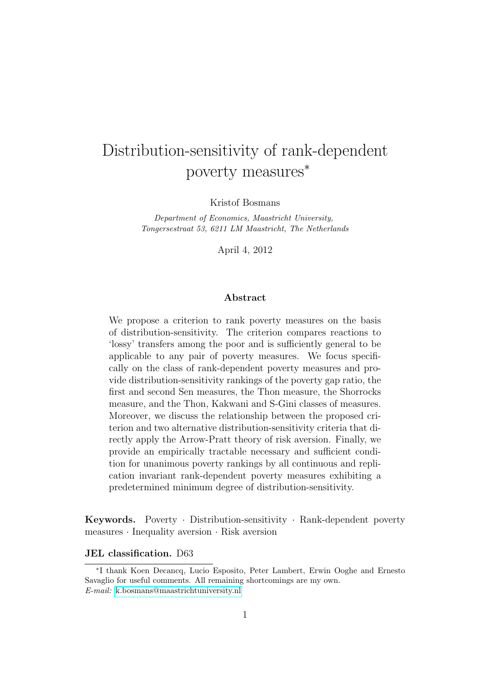# Distribution-sensitivity of rank-dependent poverty measures<sup>\*</sup>

Kristof Bosmans

Department of Economics, Maastricht University, Tongersestraat 53, 6211 LM Maastricht, The Netherlands

April 4, 2012

#### Abstract

We propose a criterion to rank poverty measures on the basis of distribution-sensitivity. The criterion compares reactions to 'lossy' transfers among the poor and is sufficiently general to be applicable to any pair of poverty measures. We focus specifically on the class of rank-dependent poverty measures and provide distribution-sensitivity rankings of the poverty gap ratio, the first and second Sen measures, the Thon measure, the Shorrocks measure, and the Thon, Kakwani and S-Gini classes of measures. Moreover, we discuss the relationship between the proposed criterion and two alternative distribution-sensitivity criteria that directly apply the Arrow-Pratt theory of risk aversion. Finally, we provide an empirically tractable necessary and sufficient condition for unanimous poverty rankings by all continuous and replication invariant rank-dependent poverty measures exhibiting a predetermined minimum degree of distribution-sensitivity.

Keywords. Poverty · Distribution-sensitivity · Rank-dependent poverty measures · Inequality aversion · Risk aversion

#### JEL classification. D63

<sup>∗</sup> I thank Koen Decancq, Lucio Esposito, Peter Lambert, Erwin Ooghe and Ernesto Savaglio for useful comments. All remaining shortcomings are my own. E-mail: [k.bosmans@maastrichtuniversity.nl](mailto:k.bosmans@maastrichtuniversity.nl)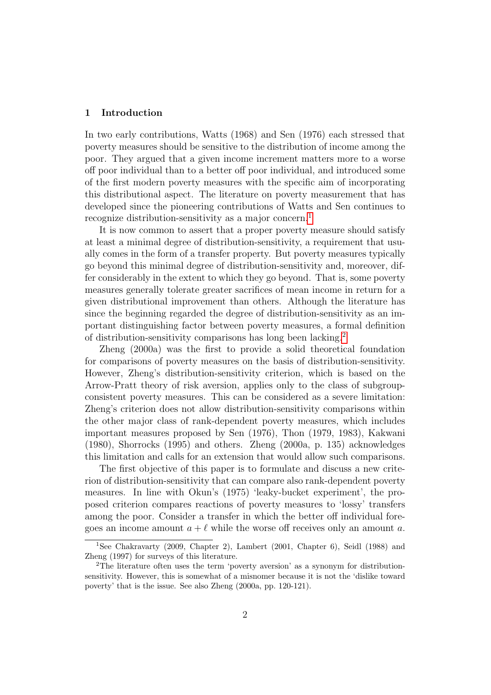#### 1 Introduction

In two early contributions, Watts (1968) and Sen (1976) each stressed that poverty measures should be sensitive to the distribution of income among the poor. They argued that a given income increment matters more to a worse off poor individual than to a better off poor individual, and introduced some of the first modern poverty measures with the specific aim of incorporating this distributional aspect. The literature on poverty measurement that has developed since the pioneering contributions of Watts and Sen continues to recognize distribution-sensitivity as a major concern.<sup>[1](#page-3-0)</sup>

It is now common to assert that a proper poverty measure should satisfy at least a minimal degree of distribution-sensitivity, a requirement that usually comes in the form of a transfer property. But poverty measures typically go beyond this minimal degree of distribution-sensitivity and, moreover, differ considerably in the extent to which they go beyond. That is, some poverty measures generally tolerate greater sacrifices of mean income in return for a given distributional improvement than others. Although the literature has since the beginning regarded the degree of distribution-sensitivity as an important distinguishing factor between poverty measures, a formal definition of distribution-sensitivity comparisons has long been lacking.[2](#page-3-1)

Zheng (2000a) was the first to provide a solid theoretical foundation for comparisons of poverty measures on the basis of distribution-sensitivity. However, Zheng's distribution-sensitivity criterion, which is based on the Arrow-Pratt theory of risk aversion, applies only to the class of subgroupconsistent poverty measures. This can be considered as a severe limitation: Zheng's criterion does not allow distribution-sensitivity comparisons within the other major class of rank-dependent poverty measures, which includes important measures proposed by Sen (1976), Thon (1979, 1983), Kakwani (1980), Shorrocks (1995) and others. Zheng (2000a, p. 135) acknowledges this limitation and calls for an extension that would allow such comparisons.

The first objective of this paper is to formulate and discuss a new criterion of distribution-sensitivity that can compare also rank-dependent poverty measures. In line with Okun's (1975) 'leaky-bucket experiment', the proposed criterion compares reactions of poverty measures to 'lossy' transfers among the poor. Consider a transfer in which the better off individual foregoes an income amount  $a + \ell$  while the worse off receives only an amount a.

<span id="page-3-0"></span><sup>&</sup>lt;sup>1</sup>See Chakravarty (2009, Chapter 2), Lambert (2001, Chapter 6), Seidl (1988) and Zheng (1997) for surveys of this literature.

<span id="page-3-1"></span><sup>2</sup>The literature often uses the term 'poverty aversion' as a synonym for distributionsensitivity. However, this is somewhat of a misnomer because it is not the 'dislike toward poverty' that is the issue. See also Zheng (2000a, pp. 120-121).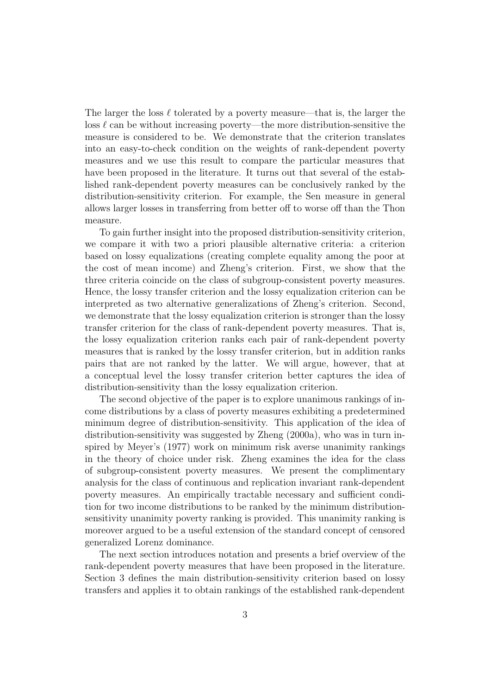The larger the loss  $\ell$  tolerated by a poverty measure—that is, the larger the loss  $\ell$  can be without increasing poverty—the more distribution-sensitive the measure is considered to be. We demonstrate that the criterion translates into an easy-to-check condition on the weights of rank-dependent poverty measures and we use this result to compare the particular measures that have been proposed in the literature. It turns out that several of the established rank-dependent poverty measures can be conclusively ranked by the distribution-sensitivity criterion. For example, the Sen measure in general allows larger losses in transferring from better off to worse off than the Thon measure.

To gain further insight into the proposed distribution-sensitivity criterion, we compare it with two a priori plausible alternative criteria: a criterion based on lossy equalizations (creating complete equality among the poor at the cost of mean income) and Zheng's criterion. First, we show that the three criteria coincide on the class of subgroup-consistent poverty measures. Hence, the lossy transfer criterion and the lossy equalization criterion can be interpreted as two alternative generalizations of Zheng's criterion. Second, we demonstrate that the lossy equalization criterion is stronger than the lossy transfer criterion for the class of rank-dependent poverty measures. That is, the lossy equalization criterion ranks each pair of rank-dependent poverty measures that is ranked by the lossy transfer criterion, but in addition ranks pairs that are not ranked by the latter. We will argue, however, that at a conceptual level the lossy transfer criterion better captures the idea of distribution-sensitivity than the lossy equalization criterion.

The second objective of the paper is to explore unanimous rankings of income distributions by a class of poverty measures exhibiting a predetermined minimum degree of distribution-sensitivity. This application of the idea of distribution-sensitivity was suggested by Zheng (2000a), who was in turn inspired by Meyer's (1977) work on minimum risk averse unanimity rankings in the theory of choice under risk. Zheng examines the idea for the class of subgroup-consistent poverty measures. We present the complimentary analysis for the class of continuous and replication invariant rank-dependent poverty measures. An empirically tractable necessary and sufficient condition for two income distributions to be ranked by the minimum distributionsensitivity unanimity poverty ranking is provided. This unanimity ranking is moreover argued to be a useful extension of the standard concept of censored generalized Lorenz dominance.

The next section introduces notation and presents a brief overview of the rank-dependent poverty measures that have been proposed in the literature. Section 3 defines the main distribution-sensitivity criterion based on lossy transfers and applies it to obtain rankings of the established rank-dependent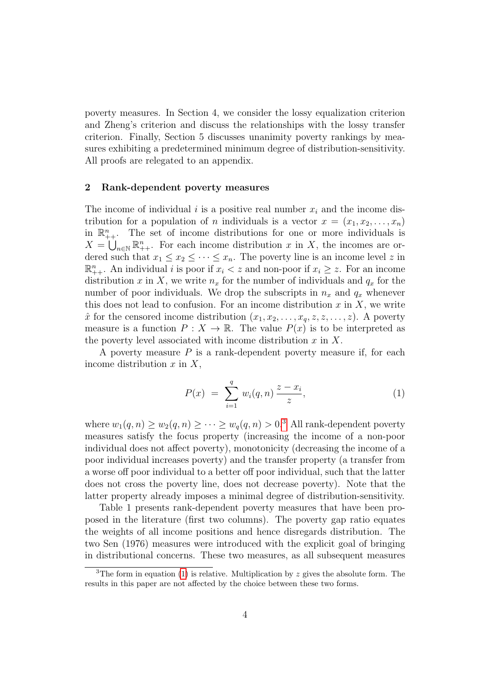poverty measures. In Section 4, we consider the lossy equalization criterion and Zheng's criterion and discuss the relationships with the lossy transfer criterion. Finally, Section 5 discusses unanimity poverty rankings by measures exhibiting a predetermined minimum degree of distribution-sensitivity. All proofs are relegated to an appendix.

#### 2 Rank-dependent poverty measures

The income of individual i is a positive real number  $x_i$  and the income distribution for a population of *n* individuals is a vector  $x = (x_1, x_2, \ldots, x_n)$ in  $\mathbb{R}_{++}^n$ . The set of income distributions for one or more individuals is  $X = \bigcup_{n\in\mathbb{N}} \mathbb{R}^n_{++}$ . For each income distribution x in X, the incomes are ordered such that  $x_1 \le x_2 \le \cdots \le x_n$ . The poverty line is an income level z in  $\mathbb{R}_{++}^n$ . An individual i is poor if  $x_i < z$  and non-poor if  $x_i \geq z$ . For an income distribution x in X, we write  $n_x$  for the number of individuals and  $q_x$  for the number of poor individuals. We drop the subscripts in  $n_x$  and  $q_x$  whenever this does not lead to confusion. For an income distribution  $x$  in  $X$ , we write  $\hat{x}$  for the censored income distribution  $(x_1, x_2, \ldots, x_q, z, z, \ldots, z)$ . A poverty measure is a function  $P: X \to \mathbb{R}$ . The value  $P(x)$  is to be interpreted as the poverty level associated with income distribution  $x$  in  $X$ .

A poverty measure  $P$  is a rank-dependent poverty measure if, for each income distribution  $x$  in  $X$ ,

<span id="page-5-1"></span>
$$
P(x) = \sum_{i=1}^{q} w_i(q, n) \frac{z - x_i}{z}, \tag{1}
$$

where  $w_1(q, n) \ge w_2(q, n) \ge \cdots \ge w_q(q, n) > 0$ .<sup>[3](#page-5-0)</sup> All rank-dependent poverty measures satisfy the focus property (increasing the income of a non-poor individual does not affect poverty), monotonicity (decreasing the income of a poor individual increases poverty) and the transfer property (a transfer from a worse off poor individual to a better off poor individual, such that the latter does not cross the poverty line, does not decrease poverty). Note that the latter property already imposes a minimal degree of distribution-sensitivity.

Table 1 presents rank-dependent poverty measures that have been proposed in the literature (first two columns). The poverty gap ratio equates the weights of all income positions and hence disregards distribution. The two Sen (1976) measures were introduced with the explicit goal of bringing in distributional concerns. These two measures, as all subsequent measures

<span id="page-5-0"></span><sup>&</sup>lt;sup>3</sup>The form in equation [\(1\)](#page-5-1) is relative. Multiplication by z gives the absolute form. The results in this paper are not affected by the choice between these two forms.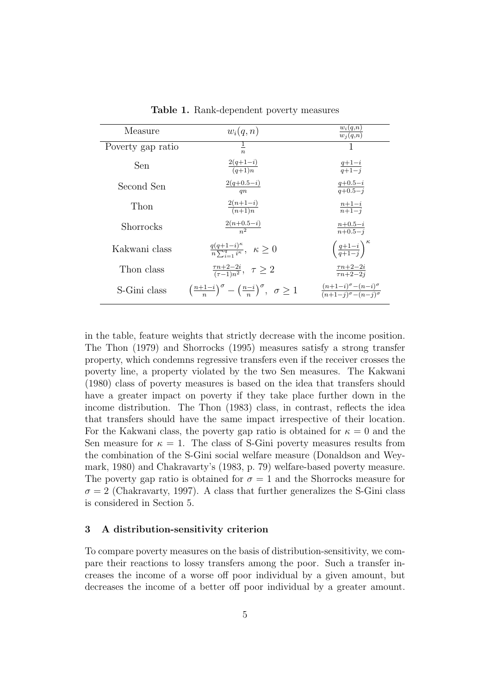| Measure           | $w_i(q,n)$                                                                                   | $w_i(q,n)$<br>$\overline{w_i(q,n)}$                                       |  |  |
|-------------------|----------------------------------------------------------------------------------------------|---------------------------------------------------------------------------|--|--|
| Poverty gap ratio | $\frac{1}{n}$                                                                                | 1                                                                         |  |  |
| Sen               | $\frac{2(q+1-i)}{(q+1)n}$                                                                    | $\frac{q+1-i}{q+1-i}$                                                     |  |  |
| Second Sen        | $2(q+0.5-i)$<br>a n                                                                          | $\frac{q+0.5-i}{q+0.5-i}$                                                 |  |  |
| Thon              | $\frac{2(n+1-i)}{(n+1)n}$                                                                    | $\frac{n+1-i}{n+1-i}$                                                     |  |  |
| Shorrocks         | $\frac{2(n+0.5-i)}{n^2}$                                                                     | $\frac{n+0.5-i}{n+0.5-i}$                                                 |  |  |
| Kakwani class     | $\frac{q(q+1-i)^{\kappa}}{n \sum_{i=1}^q i^{\kappa}}, \ \kappa \geq 0$                       | $\left(\frac{q+1-i}{q+1-j}\right)^{\kappa}$                               |  |  |
| Thon class        | $\frac{\tau n+2-2i}{(\tau-1)n^2}, \ \tau \geq 2$                                             | $\frac{\tau n+2-2i}{\tau n+2-2i}$                                         |  |  |
| S-Gini class      | $\left(\frac{n+1-i}{n}\right)^{\sigma} - \left(\frac{n-i}{n}\right)^{\sigma}, \sigma \geq 1$ | $\frac{(n+1-i)^{\sigma}-(n-i)^{\sigma}}{(n+1-i)^{\sigma}-(n-i)^{\sigma}}$ |  |  |

Table 1. Rank-dependent poverty measures

in the table, feature weights that strictly decrease with the income position. The Thon (1979) and Shorrocks (1995) measures satisfy a strong transfer property, which condemns regressive transfers even if the receiver crosses the poverty line, a property violated by the two Sen measures. The Kakwani (1980) class of poverty measures is based on the idea that transfers should have a greater impact on poverty if they take place further down in the income distribution. The Thon (1983) class, in contrast, reflects the idea that transfers should have the same impact irrespective of their location. For the Kakwani class, the poverty gap ratio is obtained for  $\kappa = 0$  and the Sen measure for  $\kappa = 1$ . The class of S-Gini poverty measures results from the combination of the S-Gini social welfare measure (Donaldson and Weymark, 1980) and Chakravarty's (1983, p. 79) welfare-based poverty measure. The poverty gap ratio is obtained for  $\sigma = 1$  and the Shorrocks measure for  $\sigma = 2$  (Chakravarty, 1997). A class that further generalizes the S-Gini class is considered in Section 5.

#### 3 A distribution-sensitivity criterion

To compare poverty measures on the basis of distribution-sensitivity, we compare their reactions to lossy transfers among the poor. Such a transfer increases the income of a worse off poor individual by a given amount, but decreases the income of a better off poor individual by a greater amount.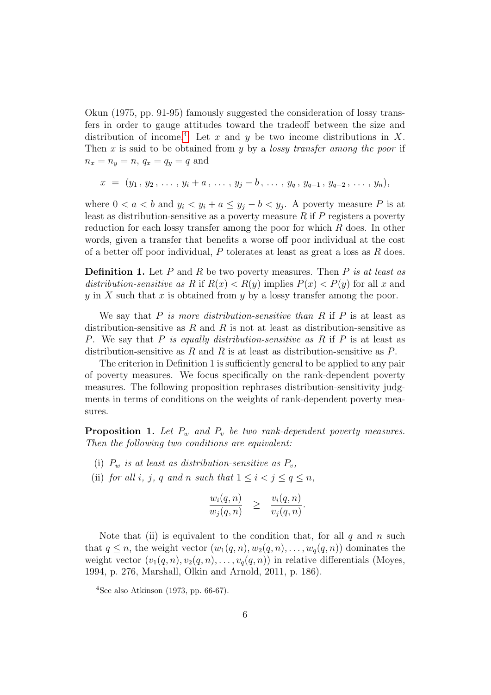Okun (1975, pp. 91-95) famously suggested the consideration of lossy transfers in order to gauge attitudes toward the tradeoff between the size and distribution of income.<sup>[4](#page-7-0)</sup> Let x and y be two income distributions in X. Then  $x$  is said to be obtained from  $y$  by a *lossy transfer among the poor* if  $n_x = n_y = n$ ,  $q_x = q_y = q$  and

$$
x = (y_1, y_2, \ldots, y_i + a, \ldots, y_j - b, \ldots, y_q, y_{q+1}, y_{q+2}, \ldots, y_n),
$$

where  $0 < a < b$  and  $y_i < y_i + a \le y_j - b < y_j$ . A poverty measure P is at least as distribution-sensitive as a poverty measure  $R$  if  $P$  registers a poverty reduction for each lossy transfer among the poor for which R does. In other words, given a transfer that benefits a worse off poor individual at the cost of a better off poor individual,  $P$  tolerates at least as great a loss as  $R$  does.

**Definition 1.** Let P and R be two poverty measures. Then P is at least as distribution-sensitive as R if  $R(x) < R(y)$  implies  $P(x) < P(y)$  for all x and  $y$  in X such that x is obtained from y by a lossy transfer among the poor.

We say that  $P$  is more distribution-sensitive than  $R$  if  $P$  is at least as distribution-sensitive as  $R$  and  $R$  is not at least as distribution-sensitive as P. We say that P is equally distribution-sensitive as R if P is at least as distribution-sensitive as  $R$  and  $R$  is at least as distribution-sensitive as  $P$ .

The criterion in Definition 1 is sufficiently general to be applied to any pair of poverty measures. We focus specifically on the rank-dependent poverty measures. The following proposition rephrases distribution-sensitivity judgments in terms of conditions on the weights of rank-dependent poverty measures.

**Proposition 1.** Let  $P_w$  and  $P_v$  be two rank-dependent poverty measures. Then the following two conditions are equivalent:

- (i)  $P_w$  is at least as distribution-sensitive as  $P_v$ ,
- (ii) for all i, j, q and n such that  $1 \leq i \leq j \leq q \leq n$ .

$$
\frac{w_i(q,n)}{w_j(q,n)} \geq \frac{v_i(q,n)}{v_j(q,n)}.
$$

Note that (ii) is equivalent to the condition that, for all  $q$  and  $n$  such that  $q \leq n$ , the weight vector  $(w_1(q, n), w_2(q, n), \ldots, w_q(q, n))$  dominates the weight vector  $(v_1(q, n), v_2(q, n), \ldots, v_q(q, n))$  in relative differentials (Moyes, 1994, p. 276, Marshall, Olkin and Arnold, 2011, p. 186).

<span id="page-7-0"></span><sup>&</sup>lt;sup>4</sup>See also Atkinson (1973, pp. 66-67).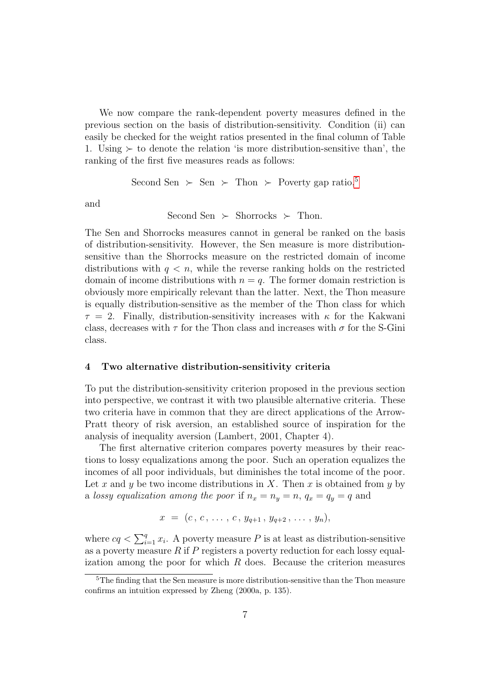We now compare the rank-dependent poverty measures defined in the previous section on the basis of distribution-sensitivity. Condition (ii) can easily be checked for the weight ratios presented in the final column of Table 1. Using  $\succ$  to denote the relation 'is more distribution-sensitive than', the ranking of the first five measures reads as follows:

Second Sen  $\succ$  Sen  $\succ$  Thon  $\succ$  Poverty gap ratio.<sup>[5](#page-8-0)</sup>

and

Second Sen 
$$
\succ
$$
 Shortocks  $\succ$  Thom.

The Sen and Shorrocks measures cannot in general be ranked on the basis of distribution-sensitivity. However, the Sen measure is more distributionsensitive than the Shorrocks measure on the restricted domain of income distributions with  $q \leq n$ , while the reverse ranking holds on the restricted domain of income distributions with  $n = q$ . The former domain restriction is obviously more empirically relevant than the latter. Next, the Thon measure is equally distribution-sensitive as the member of the Thon class for which  $\tau = 2$ . Finally, distribution-sensitivity increases with  $\kappa$  for the Kakwani class, decreases with  $\tau$  for the Thon class and increases with  $\sigma$  for the S-Gini class.

#### 4 Two alternative distribution-sensitivity criteria

To put the distribution-sensitivity criterion proposed in the previous section into perspective, we contrast it with two plausible alternative criteria. These two criteria have in common that they are direct applications of the Arrow-Pratt theory of risk aversion, an established source of inspiration for the analysis of inequality aversion (Lambert, 2001, Chapter 4).

The first alternative criterion compares poverty measures by their reactions to lossy equalizations among the poor. Such an operation equalizes the incomes of all poor individuals, but diminishes the total income of the poor. Let x and y be two income distributions in X. Then x is obtained from y by a lossy equalization among the poor if  $n_x = n_y = n$ ,  $q_x = q_y = q$  and

$$
x = (c, c, \ldots, c, y_{q+1}, y_{q+2}, \ldots, y_n),
$$

where  $cq < \sum_{i=1}^{q} x_i$ . A poverty measure P is at least as distribution-sensitive as a poverty measure  $R$  if  $P$  registers a poverty reduction for each lossy equalization among the poor for which  $R$  does. Because the criterion measures

<span id="page-8-0"></span><sup>&</sup>lt;sup>5</sup>The finding that the Sen measure is more distribution-sensitive than the Thon measure confirms an intuition expressed by Zheng (2000a, p. 135).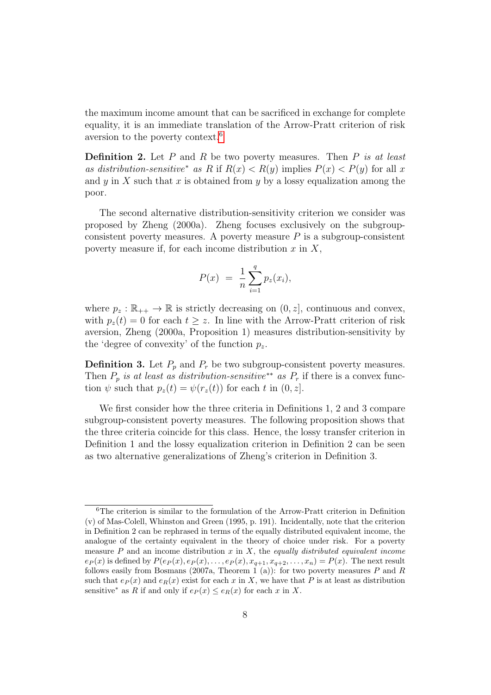the maximum income amount that can be sacrificed in exchange for complete equality, it is an immediate translation of the Arrow-Pratt criterion of risk aversion to the poverty context.[6](#page-9-0)

**Definition 2.** Let  $P$  and  $R$  be two poverty measures. Then  $P$  is at least as distribution-sensitive<sup>\*</sup> as R if  $R(x) < R(y)$  implies  $P(x) < P(y)$  for all x and  $y$  in X such that x is obtained from y by a lossy equalization among the poor.

The second alternative distribution-sensitivity criterion we consider was proposed by Zheng (2000a). Zheng focuses exclusively on the subgroupconsistent poverty measures. A poverty measure  $P$  is a subgroup-consistent poverty measure if, for each income distribution  $x$  in  $X$ ,

$$
P(x) = \frac{1}{n} \sum_{i=1}^{q} p_z(x_i),
$$

where  $p_z : \mathbb{R}_{++} \to \mathbb{R}$  is strictly decreasing on  $(0, z]$ , continuous and convex, with  $p_z(t) = 0$  for each  $t \geq z$ . In line with the Arrow-Pratt criterion of risk aversion, Zheng (2000a, Proposition 1) measures distribution-sensitivity by the 'degree of convexity' of the function  $p_z$ .

**Definition 3.** Let  $P_p$  and  $P_r$  be two subgroup-consistent poverty measures. Then  $P_p$  is at least as distribution-sensitive<sup>\*\*</sup> as  $P_r$  if there is a convex function  $\psi$  such that  $p_z(t) = \psi(r_z(t))$  for each t in  $(0, z]$ .

We first consider how the three criteria in Definitions 1, 2 and 3 compare subgroup-consistent poverty measures. The following proposition shows that the three criteria coincide for this class. Hence, the lossy transfer criterion in Definition 1 and the lossy equalization criterion in Definition 2 can be seen as two alternative generalizations of Zheng's criterion in Definition 3.

<span id="page-9-0"></span><sup>&</sup>lt;sup>6</sup>The criterion is similar to the formulation of the Arrow-Pratt criterion in Definition (v) of Mas-Colell, Whinston and Green (1995, p. 191). Incidentally, note that the criterion in Definition 2 can be rephrased in terms of the equally distributed equivalent income, the analogue of the certainty equivalent in the theory of choice under risk. For a poverty measure  $P$  and an income distribution  $x$  in  $X$ , the equally distributed equivalent income  $e_P(x)$  is defined by  $P(e_P(x), e_P(x), \ldots, e_P(x), x_{q+1}, x_{q+2}, \ldots, x_n) = P(x)$ . The next result follows easily from Bosmans (2007a, Theorem 1 (a)): for two poverty measures  $P$  and  $R$ such that  $e_P(x)$  and  $e_R(x)$  exist for each x in X, we have that P is at least as distribution sensitive<sup>\*</sup> as R if and only if  $e_P(x) \leq e_R(x)$  for each x in X.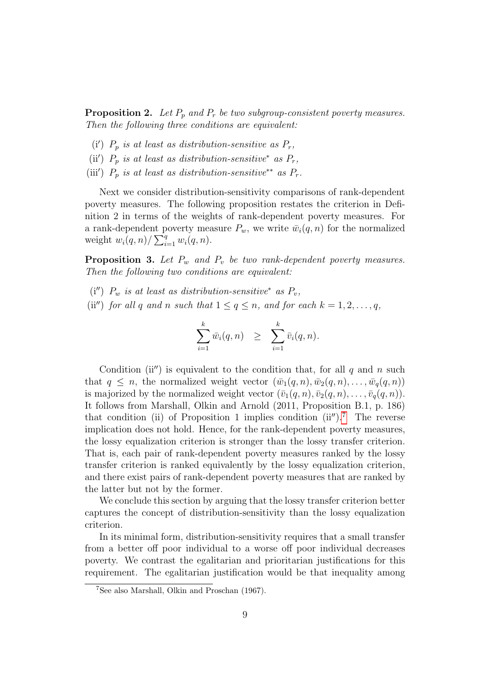**Proposition 2.** Let  $P_p$  and  $P_r$  be two subgroup-consistent poverty measures. Then the following three conditions are equivalent:

- (i')  $P_p$  is at least as distribution-sensitive as  $P_r$ ,
- (ii')  $P_p$  is at least as distribution-sensitive<sup>\*</sup> as  $P_r$ ,
- (iii')  $P_p$  is at least as distribution-sensitive<sup>\*\*</sup> as  $P_r$ .

Next we consider distribution-sensitivity comparisons of rank-dependent poverty measures. The following proposition restates the criterion in Definition 2 in terms of the weights of rank-dependent poverty measures. For a rank-dependent poverty measure  $P_w$ , we write  $\bar{w}_i(q, n)$  for the normalized weight  $w_i(q, n) / \sum_{i=1}^q w_i(q, n)$ .

**Proposition 3.** Let  $P_w$  and  $P_v$  be two rank-dependent poverty measures. Then the following two conditions are equivalent:

- (i<sup>n</sup>)  $P_w$  is at least as distribution-sensitive<sup>\*</sup> as  $P_v$ ,
- (ii") for all q and n such that  $1 \leq q \leq n$ , and for each  $k = 1, 2, \ldots, q$ ,

$$
\sum_{i=1}^k \bar{w}_i(q,n) \geq \sum_{i=1}^k \bar{v}_i(q,n).
$$

Condition (ii'') is equivalent to the condition that, for all q and n such that  $q \leq n$ , the normalized weight vector  $(\bar{w}_1(q,n), \bar{w}_2(q,n), \ldots, \bar{w}_q(q,n))$ is majorized by the normalized weight vector  $(\bar{v}_1(q, n), \bar{v}_2(q, n), \ldots, \bar{v}_q(q, n)).$ It follows from Marshall, Olkin and Arnold (2011, Proposition B.1, p. 186) that condition (ii) of Proposition 1 implies condition  $(ii'')$ .<sup>[7](#page-10-0)</sup> The reverse implication does not hold. Hence, for the rank-dependent poverty measures, the lossy equalization criterion is stronger than the lossy transfer criterion. That is, each pair of rank-dependent poverty measures ranked by the lossy transfer criterion is ranked equivalently by the lossy equalization criterion, and there exist pairs of rank-dependent poverty measures that are ranked by the latter but not by the former.

We conclude this section by arguing that the lossy transfer criterion better captures the concept of distribution-sensitivity than the lossy equalization criterion.

In its minimal form, distribution-sensitivity requires that a small transfer from a better off poor individual to a worse off poor individual decreases poverty. We contrast the egalitarian and prioritarian justifications for this requirement. The egalitarian justification would be that inequality among

<span id="page-10-0"></span><sup>7</sup>See also Marshall, Olkin and Proschan (1967).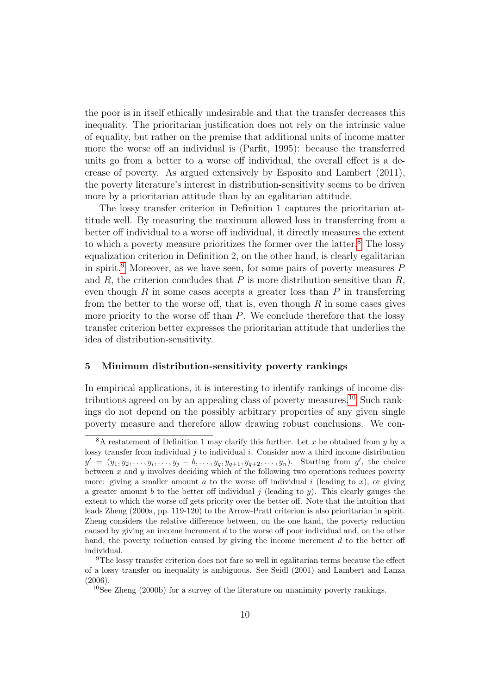the poor is in itself ethically undesirable and that the transfer decreases this inequality. The prioritarian justification does not rely on the intrinsic value of equality, but rather on the premise that additional units of income matter more the worse off an individual is (Parfit, 1995): because the transferred units go from a better to a worse off individual, the overall effect is a decrease of poverty. As argued extensively by Esposito and Lambert (2011), the poverty literature's interest in distribution-sensitivity seems to be driven more by a prioritarian attitude than by an egalitarian attitude.

The lossy transfer criterion in Definition 1 captures the prioritarian attitude well. By measuring the maximum allowed loss in transferring from a better off individual to a worse off individual, it directly measures the extent to which a poverty measure prioritizes the former over the latter.[8](#page-11-0) The lossy equalization criterion in Definition 2, on the other hand, is clearly egalitarian in spirit.<sup>[9](#page-11-1)</sup> Moreover, as we have seen, for some pairs of poverty measures  $P$ and R, the criterion concludes that P is more distribution-sensitive than  $R$ , even though  $R$  in some cases accepts a greater loss than  $P$  in transferring from the better to the worse off, that is, even though  $R$  in some cases gives more priority to the worse off than  $P$ . We conclude therefore that the lossy transfer criterion better expresses the prioritarian attitude that underlies the idea of distribution-sensitivity.

#### 5 Minimum distribution-sensitivity poverty rankings

In empirical applications, it is interesting to identify rankings of income dis-tributions agreed on by an appealing class of poverty measures.<sup>[10](#page-11-2)</sup> Such rankings do not depend on the possibly arbitrary properties of any given single poverty measure and therefore allow drawing robust conclusions. We con-

<span id="page-11-0"></span><sup>&</sup>lt;sup>8</sup>A restatement of Definition 1 may clarify this further. Let x be obtained from y by a lossy transfer from individual j to individual i. Consider now a third income distribution  $y' = (y_1, y_2, \ldots, y_i, \ldots, y_j - b, \ldots, y_q, y_{q+1}, y_{q+2}, \ldots, y_n)$ . Starting from  $y'$ , the choice between  $x$  and  $y$  involves deciding which of the following two operations reduces poverty more: giving a smaller amount  $a$  to the worse off individual  $i$  (leading to  $x$ ), or giving a greater amount b to the better off individual j (leading to  $y$ ). This clearly gauges the extent to which the worse off gets priority over the better off. Note that the intuition that leads Zheng (2000a, pp. 119-120) to the Arrow-Pratt criterion is also prioritarian in spirit. Zheng considers the relative difference between, on the one hand, the poverty reduction caused by giving an income increment d to the worse off poor individual and, on the other hand, the poverty reduction caused by giving the income increment  $d$  to the better off individual.

<span id="page-11-1"></span><sup>9</sup>The lossy transfer criterion does not fare so well in egalitarian terms because the effect of a lossy transfer on inequality is ambiguous. See Seidl (2001) and Lambert and Lanza (2006).

<span id="page-11-2"></span> $10$ See Zheng (2000b) for a survey of the literature on unanimity poverty rankings.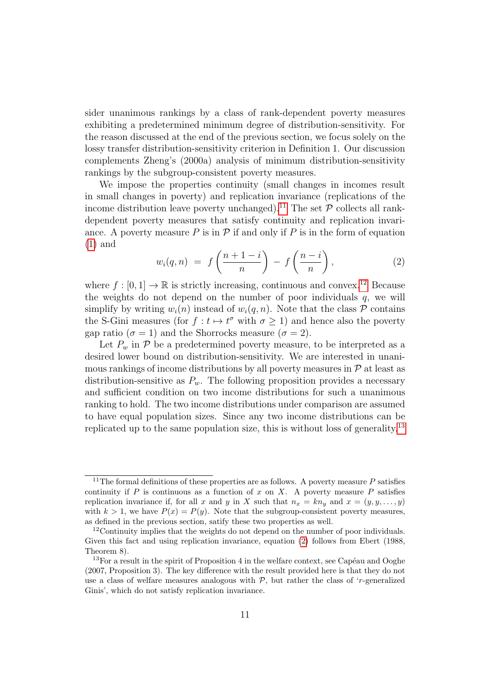sider unanimous rankings by a class of rank-dependent poverty measures exhibiting a predetermined minimum degree of distribution-sensitivity. For the reason discussed at the end of the previous section, we focus solely on the lossy transfer distribution-sensitivity criterion in Definition 1. Our discussion complements Zheng's (2000a) analysis of minimum distribution-sensitivity rankings by the subgroup-consistent poverty measures.

We impose the properties continuity (small changes in incomes result in small changes in poverty) and replication invariance (replications of the income distribution leave poverty unchanged).<sup>[11](#page-12-0)</sup> The set  $P$  collects all rankdependent poverty measures that satisfy continuity and replication invariance. A poverty measure P is in  $\mathcal P$  if and only if P is in the form of equation [\(1\)](#page-5-1) and

<span id="page-12-3"></span>
$$
w_i(q,n) = f\left(\frac{n+1-i}{n}\right) - f\left(\frac{n-i}{n}\right), \tag{2}
$$

where  $f : [0, 1] \to \mathbb{R}$  is strictly increasing, continuous and convex.<sup>[12](#page-12-1)</sup> Because the weights do not depend on the number of poor individuals  $q$ , we will simplify by writing  $w_i(n)$  instead of  $w_i(q, n)$ . Note that the class  $\mathcal P$  contains the S-Gini measures (for  $f : t \mapsto t^{\sigma}$  with  $\sigma \geq 1$ ) and hence also the poverty gap ratio ( $\sigma = 1$ ) and the Shorrocks measure ( $\sigma = 2$ ).

Let  $P_w$  in  $\mathcal P$  be a predetermined poverty measure, to be interpreted as a desired lower bound on distribution-sensitivity. We are interested in unanimous rankings of income distributions by all poverty measures in  $\mathcal P$  at least as distribution-sensitive as  $P_w$ . The following proposition provides a necessary and sufficient condition on two income distributions for such a unanimous ranking to hold. The two income distributions under comparison are assumed to have equal population sizes. Since any two income distributions can be replicated up to the same population size, this is without loss of generality.[13](#page-12-2)

<span id="page-12-0"></span><sup>&</sup>lt;sup>11</sup>The formal definitions of these properties are as follows. A poverty measure  $P$  satisfies continuity if  $P$  is continuous as a function of  $x$  on  $X$ . A poverty measure  $P$  satisfies replication invariance if, for all x and y in X such that  $n_x = kn_y$  and  $x = (y, y, \dots, y)$ with  $k > 1$ , we have  $P(x) = P(y)$ . Note that the subgroup-consistent poverty measures, as defined in the previous section, satify these two properties as well.

<span id="page-12-1"></span><sup>&</sup>lt;sup>12</sup>Continuity implies that the weights do not depend on the number of poor individuals. Given this fact and using replication invariance, equation [\(2\)](#page-12-3) follows from Ebert (1988, Theorem 8).

<span id="page-12-2"></span> $13$  For a result in the spirit of Proposition 4 in the welfare context, see Capéau and Ooghe (2007, Proposition 3). The key difference with the result provided here is that they do not use a class of welfare measures analogous with  $P$ , but rather the class of 'r-generalized Ginis', which do not satisfy replication invariance.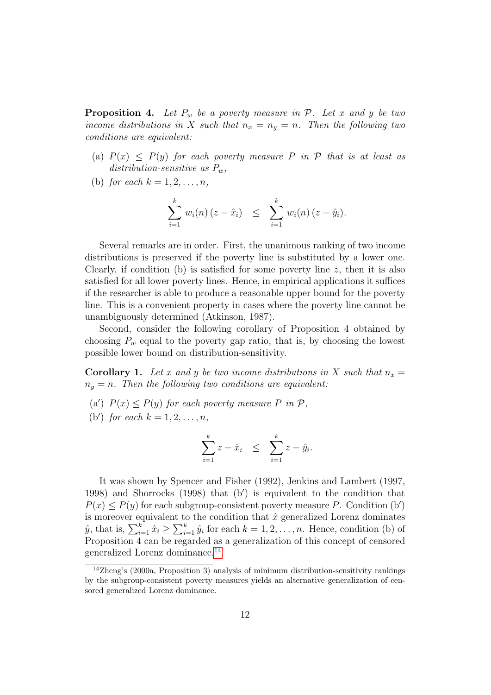**Proposition 4.** Let  $P_w$  be a poverty measure in  $P$ . Let x and y be two income distributions in X such that  $n_x = n_y = n$ . Then the following two conditions are equivalent:

- (a)  $P(x) \leq P(y)$  for each poverty measure P in P that is at least as distribution-sensitive as  $P_w$ ,
- (b) for each  $k = 1, 2, \ldots, n$ ,

$$
\sum_{i=1}^k w_i(n) (z - \hat{x}_i) \leq \sum_{i=1}^k w_i(n) (z - \hat{y}_i).
$$

Several remarks are in order. First, the unanimous ranking of two income distributions is preserved if the poverty line is substituted by a lower one. Clearly, if condition (b) is satisfied for some poverty line  $z$ , then it is also satisfied for all lower poverty lines. Hence, in empirical applications it suffices if the researcher is able to produce a reasonable upper bound for the poverty line. This is a convenient property in cases where the poverty line cannot be unambiguously determined (Atkinson, 1987).

Second, consider the following corollary of Proposition 4 obtained by choosing  $P_w$  equal to the poverty gap ratio, that is, by choosing the lowest possible lower bound on distribution-sensitivity.

**Corollary 1.** Let x and y be two income distributions in X such that  $n_x =$  $n_y = n$ . Then the following two conditions are equivalent:

(a')  $P(x) \leq P(y)$  for each poverty measure P in P,

(b') for each  $k = 1, 2, ..., n$ ,

$$
\sum_{i=1}^k z - \hat{x}_i \leq \sum_{i=1}^k z - \hat{y}_i.
$$

It was shown by Spencer and Fisher (1992), Jenkins and Lambert (1997, 1998) and Shorrocks  $(1998)$  that  $(b')$  is equivalent to the condition that  $P(x) \leq P(y)$  for each subgroup-consistent poverty measure P. Condition (b') is moreover equivalent to the condition that  $\hat{x}$  generalized Lorenz dominates  $\hat{y}$ , that is,  $\sum_{i=1}^{k} \hat{x}_i \ge \sum_{i=1}^{k} \hat{y}_i$  for each  $k = 1, 2, ..., n$ . Hence, condition (b) of Proposition 4 can be regarded as a generalization of this concept of censored generalized Lorenz dominance.[14](#page-13-0)

<span id="page-13-0"></span><sup>14</sup>Zheng's (2000a, Proposition 3) analysis of minimum distribution-sensitivity rankings by the subgroup-consistent poverty measures yields an alternative generalization of censored generalized Lorenz dominance.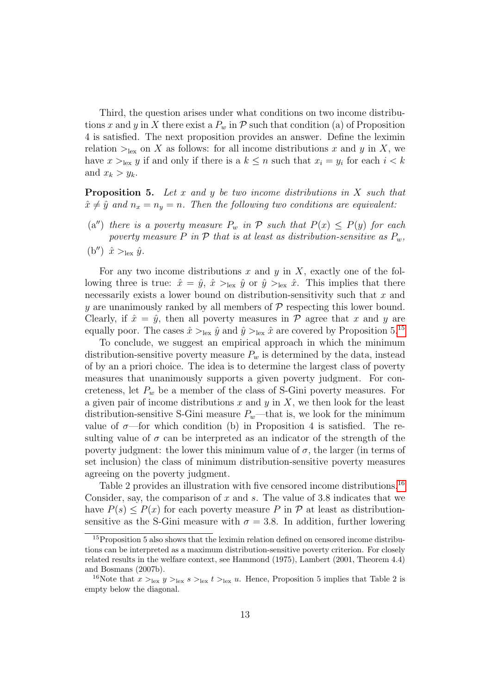Third, the question arises under what conditions on two income distributions x and y in X there exist a  $P_w$  in  $\mathcal P$  such that condition (a) of Proposition 4 is satisfied. The next proposition provides an answer. Define the leximin relation  $>_{\text{lex}}$  on X as follows: for all income distributions x and y in X, we have  $x >_{\text{lex}} y$  if and only if there is a  $k \leq n$  such that  $x_i = y_i$  for each  $i < k$ and  $x_k > y_k$ .

Proposition 5. Let x and y be two income distributions in X such that  $\hat{x} \neq \hat{y}$  and  $n_x = n_y = n$ . Then the following two conditions are equivalent:

- (a") there is a poverty measure  $P_w$  in  $P$  such that  $P(x) \leq P(y)$  for each poverty measure P in  $\mathcal P$  that is at least as distribution-sensitive as  $P_w$ ,
- (b'')  $\hat{x} >_{\text{lex}} \hat{y}$ .

For any two income distributions  $x$  and  $y$  in  $X$ , exactly one of the following three is true:  $\hat{x} = \hat{y}, \hat{x} >_{\text{lex}} \hat{y}$  or  $\hat{y} >_{\text{lex}} \hat{x}$ . This implies that there necessarily exists a lower bound on distribution-sensitivity such that  $x$  and y are unanimously ranked by all members of  $P$  respecting this lower bound. Clearly, if  $\hat{x} = \hat{y}$ , then all poverty measures in  $\mathcal P$  agree that x and y are equally poor. The cases  $\hat{x} >_{\text{lex}} \hat{y}$  and  $\hat{y} >_{\text{lex}} \hat{x}$  are covered by Proposition 5.<sup>[15](#page-14-0)</sup>

To conclude, we suggest an empirical approach in which the minimum distribution-sensitive poverty measure  $P_w$  is determined by the data, instead of by an a priori choice. The idea is to determine the largest class of poverty measures that unanimously supports a given poverty judgment. For concreteness, let  $P_w$  be a member of the class of S-Gini poverty measures. For a given pair of income distributions x and y in X, we then look for the least distribution-sensitive S-Gini measure  $P_w$ —that is, we look for the minimum value of  $\sigma$ —for which condition (b) in Proposition 4 is satisfied. The resulting value of  $\sigma$  can be interpreted as an indicator of the strength of the poverty judgment: the lower this minimum value of  $\sigma$ , the larger (in terms of set inclusion) the class of minimum distribution-sensitive poverty measures agreeing on the poverty judgment.

Table 2 provides an illustration with five censored income distributions.<sup>[16](#page-14-1)</sup> Consider, say, the comparison of  $x$  and  $s$ . The value of 3.8 indicates that we have  $P(s) \leq P(x)$  for each poverty measure P in P at least as distributionsensitive as the S-Gini measure with  $\sigma = 3.8$ . In addition, further lowering

<span id="page-14-0"></span><sup>&</sup>lt;sup>15</sup>Proposition 5 also shows that the leximin relation defined on censored income distributions can be interpreted as a maximum distribution-sensitive poverty criterion. For closely related results in the welfare context, see Hammond (1975), Lambert (2001, Theorem 4.4) and Bosmans (2007b).

<span id="page-14-1"></span><sup>&</sup>lt;sup>16</sup>Note that  $x >_{\text{lex}} y >_{\text{lex}} s >_{\text{lex}} t >_{\text{lex}} u$ . Hence, Proposition 5 implies that Table 2 is empty below the diagonal.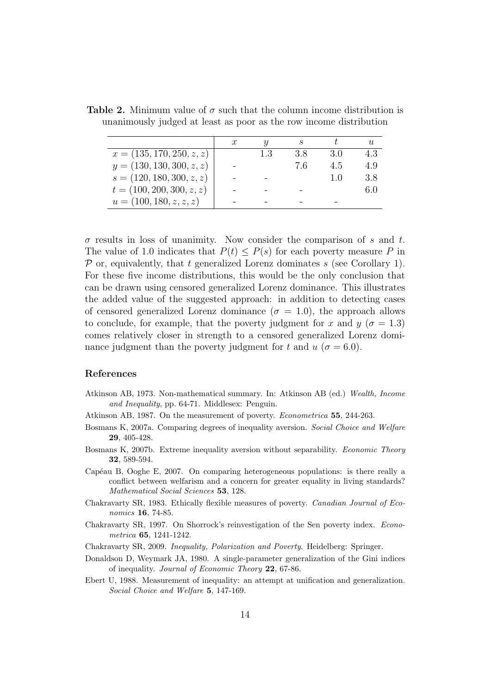|                             |     |     |     | U   |
|-----------------------------|-----|-----|-----|-----|
| $x = (135, 170, 250, z, z)$ | 1.3 | 38  | 30  | 4.3 |
| $y = (130, 130, 300, z, z)$ |     | 7 6 | 4.5 | 4.9 |
| $s = (120, 180, 300, z, z)$ |     |     |     | 3.8 |
| $t = (100, 200, 300, z, z)$ |     |     |     |     |
| $u = (100, 180, z, z, z)$   |     |     |     |     |

**Table 2.** Minimum value of  $\sigma$  such that the column income distribution is unanimously judged at least as poor as the row income distribution

 $\sigma$  results in loss of unanimity. Now consider the comparison of s and t. The value of 1.0 indicates that  $P(t) \leq P(s)$  for each poverty measure P in  $P$  or, equivalently, that t generalized Lorenz dominates s (see Corollary 1). For these five income distributions, this would be the only conclusion that can be drawn using censored generalized Lorenz dominance. This illustrates the added value of the suggested approach: in addition to detecting cases of censored generalized Lorenz dominance ( $\sigma = 1.0$ ), the approach allows to conclude, for example, that the poverty judgment for x and  $y (\sigma = 1.3)$ comes relatively closer in strength to a censored generalized Lorenz dominance judgment than the poverty judgment for t and  $u(\sigma = 6.0)$ .

#### References

- Atkinson AB, 1973. Non-mathematical summary. In: Atkinson AB (ed.) Wealth, Income and Inequality, pp. 64-71. Middlesex: Penguin.
- Atkinson AB, 1987. On the measurement of poverty. Econometrica 55, 244-263.
- Bosmans K, 2007a. Comparing degrees of inequality aversion. Social Choice and Welfare 29, 405-428.
- Bosmans K, 2007b. Extreme inequality aversion without separability. Economic Theory 32, 589-594.
- Cap´eau B, Ooghe E, 2007. On comparing heterogeneous populations: is there really a conflict between welfarism and a concern for greater equality in living standards? Mathematical Social Sciences 53, 128.
- Chakravarty SR, 1983. Ethically flexible measures of poverty. Canadian Journal of Economics 16, 74-85.
- Chakravarty SR, 1997. On Shorrock's reinvestigation of the Sen poverty index. Econometrica 65, 1241-1242.
- Chakravarty SR, 2009. Inequality, Polarization and Poverty. Heidelberg: Springer.
- Donaldson D, Weymark JA, 1980. A single-parameter generalization of the Gini indices of inequality. Journal of Economic Theory 22, 67-86.
- Ebert U, 1988. Measurement of inequality: an attempt at unification and generalization. Social Choice and Welfare 5, 147-169.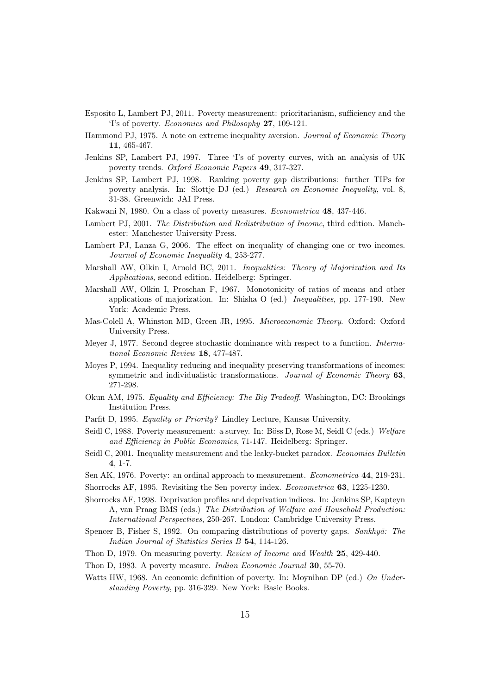- Esposito L, Lambert PJ, 2011. Poverty measurement: prioritarianism, sufficiency and the 'I's of poverty. Economics and Philosophy 27, 109-121.
- Hammond PJ, 1975. A note on extreme inequality aversion. Journal of Economic Theory 11, 465-467.
- Jenkins SP, Lambert PJ, 1997. Three 'I's of poverty curves, with an analysis of UK poverty trends. Oxford Economic Papers 49, 317-327.
- Jenkins SP, Lambert PJ, 1998. Ranking poverty gap distributions: further TIPs for poverty analysis. In: Slottje DJ (ed.) Research on Economic Inequality, vol. 8, 31-38. Greenwich: JAI Press.
- Kakwani N, 1980. On a class of poverty measures. Econometrica 48, 437-446.
- Lambert PJ, 2001. The Distribution and Redistribution of Income, third edition. Manchester: Manchester University Press.
- Lambert PJ, Lanza G, 2006. The effect on inequality of changing one or two incomes. Journal of Economic Inequality 4, 253-277.
- Marshall AW, Olkin I, Arnold BC, 2011. Inequalities: Theory of Majorization and Its Applications, second edition. Heidelberg: Springer.
- Marshall AW, Olkin I, Proschan F, 1967. Monotonicity of ratios of means and other applications of majorization. In: Shisha O (ed.) Inequalities, pp. 177-190. New York: Academic Press.
- Mas-Colell A, Whinston MD, Green JR, 1995. Microeconomic Theory. Oxford: Oxford University Press.
- Meyer J, 1977. Second degree stochastic dominance with respect to a function. International Economic Review 18, 477-487.
- Moyes P, 1994. Inequality reducing and inequality preserving transformations of incomes: symmetric and individualistic transformations. Journal of Economic Theory 63, 271-298.
- Okun AM, 1975. Equality and Efficiency: The Big Tradeoff. Washington, DC: Brookings Institution Press.
- Parfit D, 1995. Equality or Priority? Lindley Lecture, Kansas University.
- Seidl C, 1988. Poverty measurement: a survey. In: Böss D, Rose M, Seidl C (eds.) Welfare and Efficiency in Public Economics, 71-147. Heidelberg: Springer.
- Seidl C, 2001. Inequality measurement and the leaky-bucket paradox. Economics Bulletin 4, 1-7.
- Sen AK, 1976. Poverty: an ordinal approach to measurement. *Econometrica* 44, 219-231.
- Shorrocks AF, 1995. Revisiting the Sen poverty index. Econometrica 63, 1225-1230.
- Shorrocks AF, 1998. Deprivation profiles and deprivation indices. In: Jenkins SP, Kapteyn A, van Praag BMS (eds.) The Distribution of Welfare and Household Production: International Perspectives, 250-267. London: Cambridge University Press.
- Spencer B, Fisher S, 1992. On comparing distributions of poverty gaps. Sankhyā: The Indian Journal of Statistics Series B 54, 114-126.
- Thon D, 1979. On measuring poverty. Review of Income and Wealth 25, 429-440.
- Thon D, 1983. A poverty measure. Indian Economic Journal 30, 55-70.
- Watts HW, 1968. An economic definition of poverty. In: Moynihan DP (ed.) On Understanding Poverty, pp. 316-329. New York: Basic Books.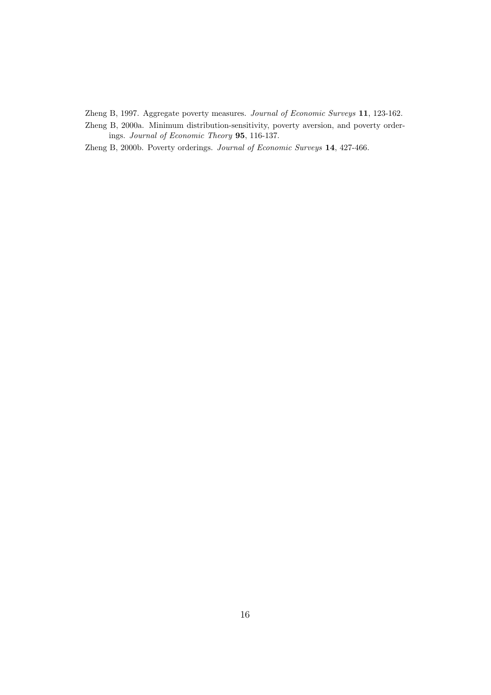- Zheng B, 1997. Aggregate poverty measures. Journal of Economic Surveys 11, 123-162.
- Zheng B, 2000a. Minimum distribution-sensitivity, poverty aversion, and poverty orderings. Journal of Economic Theory 95, 116-137.

Zheng B, 2000b. Poverty orderings. Journal of Economic Surveys 14, 427-466.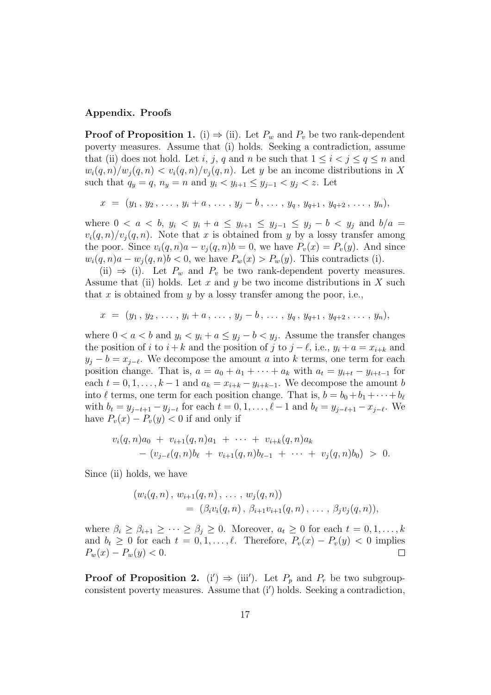#### Appendix. Proofs

**Proof of Proposition 1.** (i)  $\Rightarrow$  (ii). Let  $P_w$  and  $P_v$  be two rank-dependent poverty measures. Assume that (i) holds. Seeking a contradiction, assume that (ii) does not hold. Let i, j, q and n be such that  $1 \le i \le j \le q \le n$  and  $w_i(q, n)/w_j(q, n) < v_i(q, n)/v_j(q, n)$ . Let y be an income distributions in X such that  $q_y = q$ ,  $n_y = n$  and  $y_i < y_{i+1} \le y_{j-1} < y_j < z$ . Let

 $x = (y_1, y_2, \ldots, y_i + a, \ldots, y_j - b, \ldots, y_a, y_{a+1}, y_{a+2}, \ldots, y_n),$ 

where  $0 < a < b$ ,  $y_i < y_i + a \le y_{i+1} \le y_{j-1} \le y_j - b < y_j$  and  $b/a =$  $v_i(q, n)/v_j(q, n)$ . Note that x is obtained from y by a lossy transfer among the poor. Since  $v_i(q, n)a - v_i(q, n)b = 0$ , we have  $P_v(x) = P_v(y)$ . And since  $w_i(q, n)a - w_j(q, n)b < 0$ , we have  $P_w(x) > P_w(y)$ . This contradicts (i).

(ii)  $\Rightarrow$  (i). Let  $P_w$  and  $P_v$  be two rank-dependent poverty measures. Assume that (ii) holds. Let  $x$  and  $y$  be two income distributions in  $X$  such that x is obtained from y by a lossy transfer among the poor, i.e.,

 $x = (y_1, y_2, \ldots, y_i + a, \ldots, y_j - b, \ldots, y_q, y_{q+1}, y_{q+2}, \ldots, y_n),$ 

where  $0 < a < b$  and  $y_i < y_i + a \le y_j - b < y_j$ . Assume the transfer changes the position of i to  $i + k$  and the position of j to  $j - \ell$ , i.e.,  $y_i + a = x_{i+k}$  and  $y_j - b = x_{j-\ell}$ . We decompose the amount a into k terms, one term for each position change. That is,  $a = a_0 + a_1 + \cdots + a_k$  with  $a_t = y_{i+t} - y_{i+t-1}$  for each  $t = 0, 1, \ldots, k - 1$  and  $a_k = x_{i+k} - y_{i+k-1}$ . We decompose the amount b into  $\ell$  terms, one term for each position change. That is,  $b = b_0 + b_1 + \cdots + b_\ell$ with  $b_t = y_{j-t+1} - y_{j-t}$  for each  $t = 0, 1, ..., \ell - 1$  and  $b_{\ell} = y_{j-\ell+1} - x_{j-\ell}$ . We have  $P_v(x) - P_v(y) < 0$  if and only if

$$
v_i(q,n)a_0 + v_{i+1}(q,n)a_1 + \cdots + v_{i+k}(q,n)a_k
$$
  
- 
$$
(v_{j-\ell}(q,n)b_{\ell} + v_{i+1}(q,n)b_{\ell-1} + \cdots + v_j(q,n)b_0) > 0.
$$

Since (ii) holds, we have

$$
(w_i(q,n), w_{i+1}(q,n), \ldots, w_j(q,n))
$$
  
=  $(\beta_i v_i(q,n), \beta_{i+1} v_{i+1}(q,n), \ldots, \beta_j v_j(q,n)),$ 

where  $\beta_i \geq \beta_{i+1} \geq \cdots \geq \beta_j \geq 0$ . Moreover,  $a_t \geq 0$  for each  $t = 0, 1, \ldots, k$ and  $b_t \geq 0$  for each  $t = 0, 1, \ldots, \ell$ . Therefore,  $P_v(x) - P_v(y) < 0$  implies  $P_w(x) - P_w(y) < 0.$  $\Box$ 

**Proof of Proposition 2.** (i')  $\Rightarrow$  (iii'). Let  $P_p$  and  $P_r$  be two subgroup- $\alpha$  consistent poverty measures. Assume that  $(i')$  holds. Seeking a contradiction,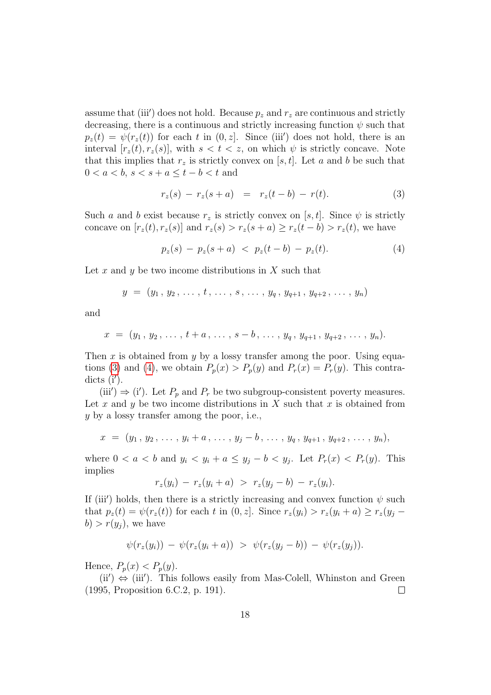assume that (iii') does not hold. Because  $p_z$  and  $r_z$  are continuous and strictly decreasing, there is a continuous and strictly increasing function  $\psi$  such that  $p_z(t) = \psi(r_z(t))$  for each t in  $(0, z]$ . Since (iii') does not hold, there is an interval  $[r_z(t), r_z(s)]$ , with  $s < t < z$ , on which  $\psi$  is strictly concave. Note that this implies that  $r_z$  is strictly convex on [s, t]. Let a and b be such that  $0 < a < b, s < s + a \leq t - b < t$  and

<span id="page-19-0"></span>
$$
r_z(s) - r_z(s+a) = r_z(t-b) - r(t).
$$
 (3)

Such a and b exist because  $r_z$  is strictly convex on [s, t]. Since  $\psi$  is strictly concave on  $[r_z(t), r_z(s)]$  and  $r_z(s) > r_z(s+a) \ge r_z(t-b) > r_z(t)$ , we have

<span id="page-19-1"></span>
$$
p_z(s) - p_z(s+a) < p_z(t-b) - p_z(t). \tag{4}
$$

Let x and y be two income distributions in X such that

$$
y = (y_1, y_2, \ldots, t, \ldots, s, \ldots, y_q, y_{q+1}, y_{q+2}, \ldots, y_n)
$$

and

$$
x = (y_1, y_2, \ldots, t + a, \ldots, s - b, \ldots, y_q, y_{q+1}, y_{q+2}, \ldots, y_n).
$$

Then x is obtained from y by a lossy transfer among the poor. Using equa-tions [\(3\)](#page-19-0) and [\(4\)](#page-19-1), we obtain  $P_p(x) > P_p(y)$  and  $P_r(x) = P_r(y)$ . This contradicts  $(i')$ .

(iii')  $\Rightarrow$  (i'). Let  $P_p$  and  $P_r$  be two subgroup-consistent poverty measures. Let x and y be two income distributions in X such that x is obtained from y by a lossy transfer among the poor, i.e.,

$$
x = (y_1, y_2, \ldots, y_i + a, \ldots, y_j - b, \ldots, y_q, y_{q+1}, y_{q+2}, \ldots, y_n),
$$

where  $0 < a < b$  and  $y_i < y_i + a \le y_j - b < y_j$ . Let  $P_r(x) < P_r(y)$ . This implies

$$
r_z(y_i) - r_z(y_i + a) > r_z(y_j - b) - r_z(y_i).
$$

If (iii') holds, then there is a strictly increasing and convex function  $\psi$  such that  $p_z(t) = \psi(r_z(t))$  for each t in  $(0, z]$ . Since  $r_z(y_i) > r_z(y_i + a) \ge r_z(y_i - a)$  $b > r(y_i)$ , we have

$$
\psi(r_z(y_i)) - \psi(r_z(y_i + a)) > \psi(r_z(y_j - b)) - \psi(r_z(y_j)).
$$

Hence,  $P_p(x) < P_p(y)$ .

 $(ii') \Leftrightarrow (iii')$ . This follows easily from Mas-Colell, Whinston and Green (1995, Proposition 6.C.2, p. 191).  $\Box$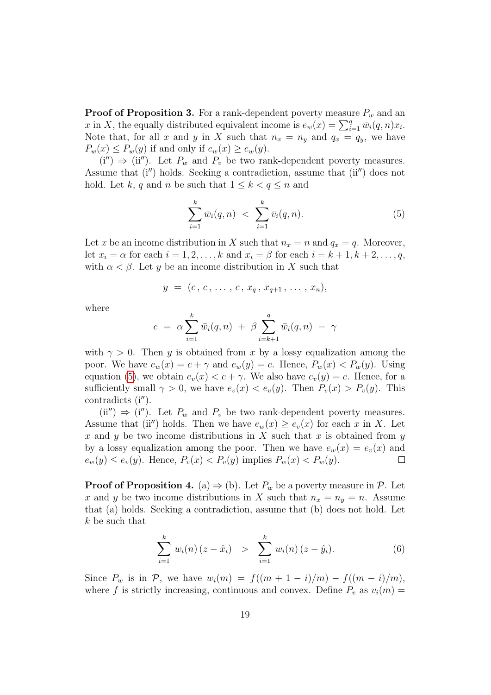**Proof of Proposition 3.** For a rank-dependent poverty measure  $P_w$  and an x in X, the equally distributed equivalent income is  $e_w(x) = \sum_{i=1}^q \bar{w}_i(q, n)x_i$ . Note that, for all x and y in X such that  $n_x = n_y$  and  $q_x = q_y$ , we have  $P_w(x) \le P_w(y)$  if and only if  $e_w(x) \ge e_w(y)$ .

 $(i'') \Rightarrow (ii'')$ . Let  $P_w$  and  $P_v$  be two rank-dependent poverty measures. Assume that  $(i'')$  holds. Seeking a contradiction, assume that  $(ii'')$  does not hold. Let k, q and n be such that  $1 \leq k < q \leq n$  and

<span id="page-20-0"></span>
$$
\sum_{i=1}^{k} \bar{w}_i(q, n) < \sum_{i=1}^{k} \bar{v}_i(q, n). \tag{5}
$$

Let x be an income distribution in X such that  $n_x = n$  and  $q_x = q$ . Moreover, let  $x_i = \alpha$  for each  $i = 1, 2, \ldots, k$  and  $x_i = \beta$  for each  $i = k + 1, k + 2, \ldots, q$ , with  $\alpha < \beta$ . Let y be an income distribution in X such that

$$
y = (c, c, \ldots, c, x_q, x_{q+1}, \ldots, x_n),
$$

where

$$
c = \alpha \sum_{i=1}^{k} \bar{w}_i(q,n) + \beta \sum_{i=k+1}^{q} \bar{w}_i(q,n) - \gamma
$$

with  $\gamma > 0$ . Then y is obtained from x by a lossy equalization among the poor. We have  $e_w(x) = c + \gamma$  and  $e_w(y) = c$ . Hence,  $P_w(x) < P_w(y)$ . Using equation [\(5\)](#page-20-0), we obtain  $e_v(x) < c + \gamma$ . We also have  $e_v(y) = c$ . Hence, for a sufficiently small  $\gamma > 0$ , we have  $e_v(x) < e_v(y)$ . Then  $P_v(x) > P_v(y)$ . This contradicts  $(i'')$ .

 $(ii'') \Rightarrow (i'')$ . Let  $P_w$  and  $P_v$  be two rank-dependent poverty measures. Assume that (ii'') holds. Then we have  $e_w(x) \geq e_v(x)$  for each x in X. Let x and y be two income distributions in X such that x is obtained from  $y$ by a lossy equalization among the poor. Then we have  $e_w(x) = e_v(x)$  and  $e_w(y) \leq e_v(y)$ . Hence,  $P_v(x) < P_v(y)$  implies  $P_w(x) < P_w(y)$ .  $\Box$ 

**Proof of Proposition 4.** (a)  $\Rightarrow$  (b). Let  $P_w$  be a poverty measure in  $\mathcal{P}$ . Let x and y be two income distributions in X such that  $n_x = n_y = n$ . Assume that (a) holds. Seeking a contradiction, assume that (b) does not hold. Let k be such that

<span id="page-20-1"></span>
$$
\sum_{i=1}^{k} w_i(n) (z - \hat{x}_i) > \sum_{i=1}^{k} w_i(n) (z - \hat{y}_i).
$$
 (6)

Since  $P_w$  is in  $P$ , we have  $w_i(m) = f((m + 1 - i)/m) - f((m - i)/m)$ , where f is strictly increasing, continuous and convex. Define  $P_v$  as  $v_i(m) =$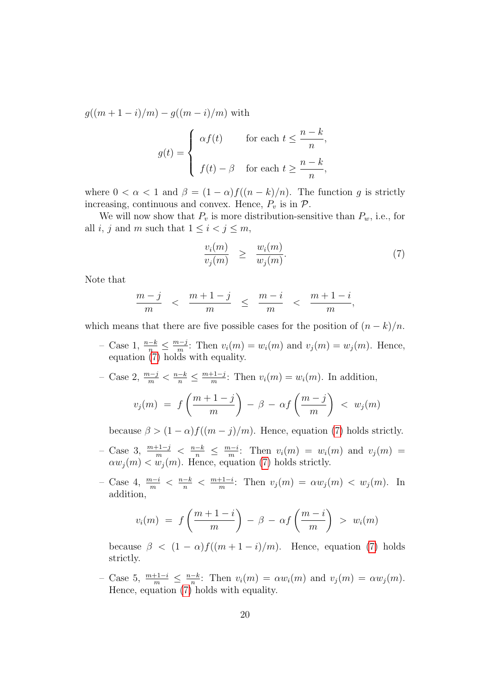$g((m+1-i)/m) - g((m-i)/m)$  with

<span id="page-21-0"></span>
$$
g(t) = \begin{cases} \alpha f(t) & \text{for each } t \leq \frac{n-k}{n}, \\ f(t) - \beta & \text{for each } t \geq \frac{n-k}{n}, \end{cases}
$$

where  $0 < \alpha < 1$  and  $\beta = (1 - \alpha)f((n - k)/n)$ . The function g is strictly increasing, continuous and convex. Hence,  $P_v$  is in  $\mathcal{P}$ .

We will now show that  $P_v$  is more distribution-sensitive than  $P_w$ , i.e., for all i, j and m such that  $1 \leq i < j \leq m$ ,

$$
\frac{v_i(m)}{v_j(m)} \ge \frac{w_i(m)}{w_j(m)}.\tag{7}
$$

Note that

$$
\frac{m-j}{m} < \frac{m+1-j}{m} \le \frac{m-i}{m} < \frac{m+1-i}{m},
$$

which means that there are five possible cases for the position of  $(n - k)/n$ .

 $-$  Case 1,  $\frac{n-k}{n}$  ≤  $\frac{m-j}{m}$  $\frac{n-j}{m}$ : Then  $v_i(m) = w_i(m)$  and  $v_j(m) = w_j(m)$ . Hence, equation [\(7\)](#page-21-0) holds with equality.

- Case 2, 
$$
\frac{m-j}{m} < \frac{n-k}{n} \le \frac{m+1-j}{m}
$$
: Then  $v_i(m) = w_i(m)$ . In addition,  

$$
v_j(m) = f\left(\frac{m+1-j}{m}\right) - \beta - \alpha f\left(\frac{m-j}{m}\right) < w_j(m)
$$

because  $\beta > (1 - \alpha) f((m - j)/m)$ . Hence, equation [\(7\)](#page-21-0) holds strictly.

- $-$  Case 3,  $\frac{m+1-j}{m}$  <  $\frac{n-k}{n}$  ≤  $\frac{m-i}{m}$  $\frac{i-i}{m}$ : Then  $v_i(m) = w_i(m)$  and  $v_j(m) =$  $\alpha w_j(m) < w_j(m)$ . Hence, equation [\(7\)](#page-21-0) holds strictly.
- $-$  Case 4,  $\frac{m-i}{m}$  <  $\frac{n-k}{n}$  <  $\frac{m+1-i}{m}$  $\frac{y+1-i}{m}$ : Then  $v_j(m) = \alpha w_j(m) < w_j(m)$ . In addition,

$$
v_i(m) = f\left(\frac{m+1-i}{m}\right) - \beta - \alpha f\left(\frac{m-i}{m}\right) > w_i(m)
$$

because  $\beta < (1 - \alpha) f((m + 1 - i)/m)$ . Hence, equation [\(7\)](#page-21-0) holds strictly.

 $-$  Case 5,  $\frac{m+1-i}{m}$  ≤  $\frac{n-k}{n}$  $\frac{-k}{n}$ : Then  $v_i(m) = \alpha w_i(m)$  and  $v_j(m) = \alpha w_j(m)$ . Hence, equation  $(7)$  holds with equality.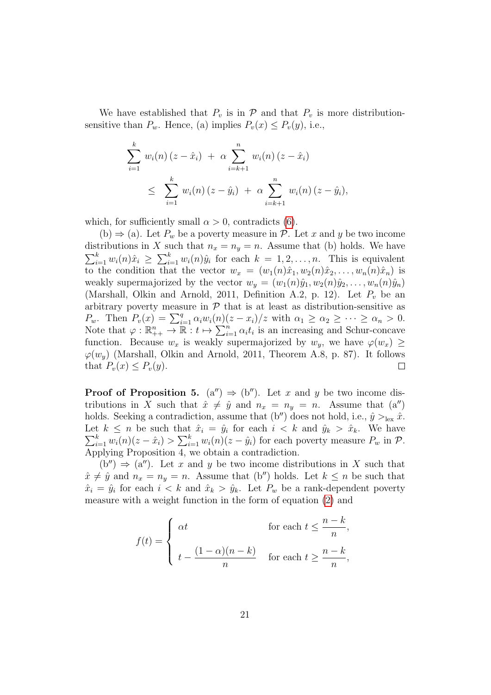We have established that  $P_v$  is in  $\mathcal P$  and that  $P_v$  is more distributionsensitive than  $P_w$ . Hence, (a) implies  $P_v(x) \leq P_v(y)$ , i.e.,

$$
\sum_{i=1}^{k} w_i(n) (z - \hat{x}_i) + \alpha \sum_{i=k+1}^{n} w_i(n) (z - \hat{x}_i)
$$
  

$$
\leq \sum_{i=1}^{k} w_i(n) (z - \hat{y}_i) + \alpha \sum_{i=k+1}^{n} w_i(n) (z - \hat{y}_i),
$$

which, for sufficiently small  $\alpha > 0$ , contradicts [\(6\)](#page-20-1).

(b)  $\Rightarrow$  (a). Let  $P_w$  be a poverty measure in  $P$ . Let x and y be two income distributions in X such that  $n_x = n_y = n$ . Assume that (b) holds. We have  $\sum_{i=1}^k w_i(n)\hat{x}_i \geq \sum_{i=1}^k w_i(n)\hat{y}_i$  for each  $k = 1, 2, \ldots, n$ . This is equivalent to the condition that the vector  $w_x = (w_1(n)\hat{x}_1, w_2(n)\hat{x}_2, \dots, w_n(n)\hat{x}_n)$  is weakly supermajorized by the vector  $w_y = (w_1(n)\hat{y}_1, w_2(n)\hat{y}_2, \ldots, w_n(n)\hat{y}_n)$ (Marshall, Olkin and Arnold, 2011, Definition A.2, p. 12). Let  $P_v$  be an arbitrary poverty measure in  $P$  that is at least as distribution-sensitive as  $P_w$ . Then  $P_v(x) = \sum_{i=1}^q \alpha_i w_i(n) (z - x_i)/z$  with  $\alpha_1 \ge \alpha_2 \ge \cdots \ge \alpha_n > 0$ . Note that  $\varphi : \mathbb{R}^n_{++} \to \mathbb{R} : t \mapsto \sum_{i=1}^n \alpha_i t_i$  is an increasing and Schur-concave function. Because  $w_x$  is weakly supermajorized by  $w_y$ , we have  $\varphi(w_x) \geq$  $\varphi(w_y)$  (Marshall, Olkin and Arnold, 2011, Theorem A.8, p. 87). It follows that  $P_v(x) \leq P_v(y)$ .  $\Box$ 

**Proof of Proposition 5.** (a'')  $\Rightarrow$  (b''). Let x and y be two income distributions in X such that  $\hat{x} \neq \hat{y}$  and  $n_x = n_y = n$ . Assume that  $(a'')$ holds. Seeking a contradiction, assume that (b'') does not hold, i.e.,  $\hat{y} >_{\text{lex}} \hat{x}$ . Let  $k \leq n$  be such that  $\hat{x}_i = \hat{y}_i$  for each  $i \leq k$  and  $\hat{y}_k > \hat{x}_k$ . We have  $\sum_{i=1}^{k} w_i(n)(z - \hat{x}_i) > \sum_{i=1}^{k} w_i(n)(z - \hat{y}_i)$  for each poverty measure  $P_w$  in  $\mathcal{P}$ . Applying Proposition 4, we obtain a contradiction.

 $(b'') \Rightarrow (a'')$ . Let x and y be two income distributions in X such that  $\hat{x} \neq \hat{y}$  and  $n_x = n_y = n$ . Assume that (b'') holds. Let  $k \leq n$  be such that  $\hat{x}_i = \hat{y}_i$  for each  $i < k$  and  $\hat{x}_k > \hat{y}_k$ . Let  $P_w$  be a rank-dependent poverty measure with a weight function in the form of equation [\(2\)](#page-12-3) and

$$
f(t) = \begin{cases} \alpha t & \text{for each } t \leq \frac{n-k}{n}, \\ t - \frac{(1-\alpha)(n-k)}{n} & \text{for each } t \geq \frac{n-k}{n}, \end{cases}
$$